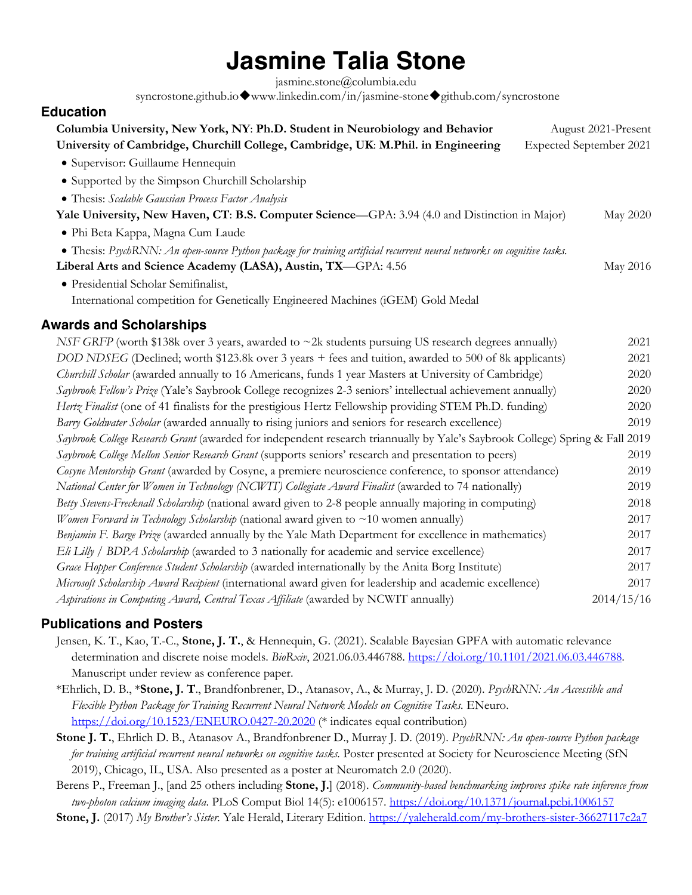# **Jasmine Talia Stone**

jasmine.stone@columbia.edu

syncrostone.github.io $\blacklozenge$ www.linkedin.com/in/jasmine-stone $\blacklozenge$ github.com/syncrostone

# **Education**

| Columbia University, New York, NY: Ph.D. Student in Neurobiology and Behavior                                                | August 2021-Present     |
|------------------------------------------------------------------------------------------------------------------------------|-------------------------|
| University of Cambridge, Churchill College, Cambridge, UK: M.Phil. in Engineering                                            | Expected September 2021 |
| · Supervisor: Guillaume Hennequin                                                                                            |                         |
| • Supported by the Simpson Churchill Scholarship                                                                             |                         |
| • Thesis: Scalable Gaussian Process Factor Analysis                                                                          |                         |
| Yale University, New Haven, CT: B.S. Computer Science—GPA: 3.94 (4.0 and Distinction in Major)                               | May 2020                |
| · Phi Beta Kappa, Magna Cum Laude                                                                                            |                         |
| • Thesis: PsychRNN: An open-source Python package for training artificial recurrent neural networks on cognitive tasks.      |                         |
| Liberal Arts and Science Academy (LASA), Austin, TX-GPA: 4.56                                                                | May 2016                |
| · Presidential Scholar Semifinalist,                                                                                         |                         |
| International competition for Genetically Engineered Machines (iGEM) Gold Medal                                              |                         |
| <b>Awards and Scholarships</b>                                                                                               |                         |
| NSF GRFP (worth \$138k over 3 years, awarded to $\sim$ 2k students pursuing US research degrees annually)                    | 2021                    |
| DOD NDSEG (Declined; worth \$123.8k over 3 years + fees and tuition, awarded to 500 of 8k applicants)                        | 2021                    |
| Churchill Scholar (awarded annually to 16 Americans, funds 1 year Masters at University of Cambridge)                        | 2020                    |
| Saybrook Fellow's Prize (Yale's Saybrook College recognizes 2-3 seniors' intellectual achievement annually)                  | 2020                    |
| Hertz Finalist (one of 41 finalists for the prestigious Hertz Fellowship providing STEM Ph.D. funding)                       | 2020                    |
| Barry Goldwater Scholar (awarded annually to rising juniors and seniors for research excellence)                             | 2019                    |
| Saybrook College Research Grant (awarded for independent research triannually by Yale's Saybrook College) Spring & Fall 2019 |                         |
| Saybrook College Mellon Senior Research Grant (supports seniors' research and presentation to peers)                         | 2019                    |
| Cosyne Mentorship Grant (awarded by Cosyne, a premiere neuroscience conference, to sponsor attendance)                       | 2019                    |
| National Center for Women in Technology (NCWIT) Collegiate Award Finalist (awarded to 74 nationally)                         | 2019                    |
| Betty Stevens-Frecknall Scholarship (national award given to 2-8 people annually majoring in computing)                      | 2018                    |
| Women Forward in Technology Scholarship (national award given to $\sim$ 10 women annually)                                   | 2017                    |
| Benjamin F. Barge Prize (awarded annually by the Yale Math Department for excellence in mathematics)                         | 2017                    |
| Eli Lilly / BDPA Scholarship (awarded to 3 nationally for academic and service excellence)                                   | 2017                    |
| Grace Hopper Conference Student Scholarship (awarded internationally by the Anita Borg Institute)                            | 2017                    |
| Microsoft Scholarship Award Recipient (international award given for leadership and academic excellence)                     | 2017                    |
| Aspirations in Computing Award, Central Texas Affiliate (awarded by NCWIT annually)                                          | 2014/15/16              |

### **Publications and Posters**

- Jensen, K. T., Kao, T.-C., **Stone, J. T.**, & Hennequin, G. (2021). Scalable Bayesian GPFA with automatic relevance determination and discrete noise models. *BioRxiv*, 2021.06.03.446788. https://doi.org/10.1101/2021.06.03.446788. Manuscript under review as conference paper.
- \*Ehrlich, D. B., \***Stone, J. T**., Brandfonbrener, D., Atanasov, A., & Murray, J. D. (2020). *PsychRNN: An Accessible and Flexible Python Package for Training Recurrent Neural Network Models on Cognitive Tasks.* ENeuro. https://doi.org/10.1523/ENEURO.0427-20.2020 (\* indicates equal contribution)
- **Stone J. T.**, Ehrlich D. B., Atanasov A., Brandfonbrener D., Murray J. D. (2019). *PsychRNN: An open-source Python package for training artificial recurrent neural networks on cognitive tasks.* Poster presented at Society for Neuroscience Meeting (SfN 2019), Chicago, IL, USA. Also presented as a poster at Neuromatch 2.0 (2020).
- Berens P., Freeman J., [and 25 others including **Stone, J.**] (2018). *Community-based benchmarking improves spike rate inference from two-photon calcium imaging data*. PLoS Comput Biol 14(5): e1006157. https://doi.org/10.1371/journal.pcbi.1006157 **Stone, J.** (2017) *My Brother's Sister.* Yale Herald, Literary Edition. https://yaleherald.com/my-brothers-sister-36627117c2a7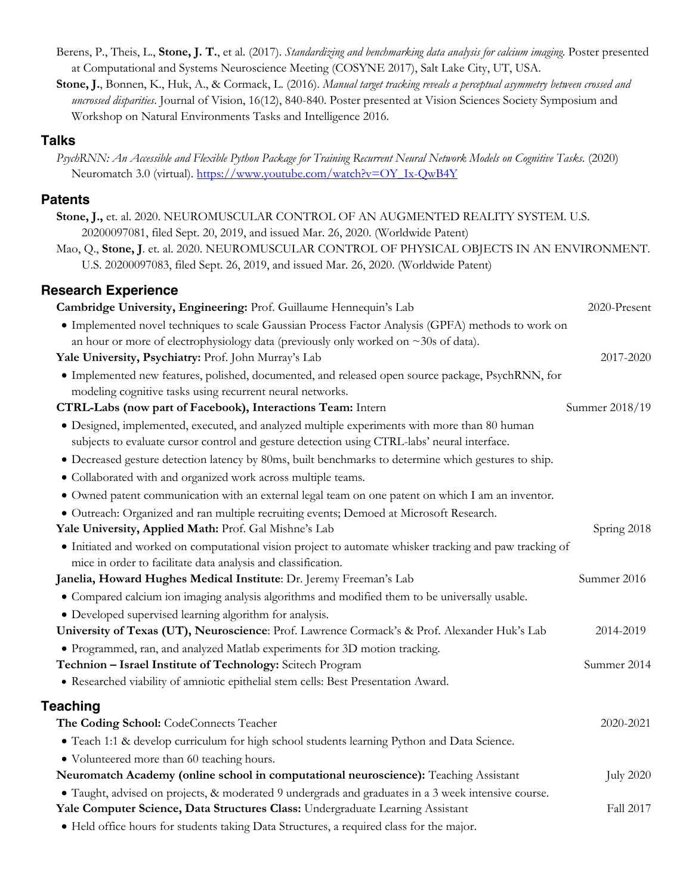- Berens, P., Theis, L., **Stone, J. T.**, et al. (2017). *Standardizing and benchmarking data analysis for calcium imaging.* Poster presented at Computational and Systems Neuroscience Meeting (COSYNE 2017), Salt Lake City, UT, USA.
- **Stone, J.**, Bonnen, K., Huk, A., & Cormack, L. (2016). *Manual target tracking reveals a perceptual asymmetry between crossed and uncrossed disparities*. Journal of Vision, 16(12), 840-840. Poster presented at Vision Sciences Society Symposium and Workshop on Natural Environments Tasks and Intelligence 2016.

#### **Talks**

*PsychRNN: An Accessible and Flexible Python Package for Training Recurrent Neural Network Models on Cognitive Tasks.* (2020) Neuromatch 3.0 (virtual). https://www.youtube.com/watch?v=OY\_Ix-QwB4Y

# **Patents**

| Stone, J., et. al. 2020. NEUROMUSCULAR CONTROL OF AN AUGMENTED REALITY SYSTEM. U.S.<br>20200097081, filed Sept. 20, 2019, and issued Mar. 26, 2020. (Worldwide Patent)                          |                  |
|-------------------------------------------------------------------------------------------------------------------------------------------------------------------------------------------------|------------------|
| Mao, Q., Stone, J. et. al. 2020. NEUROMUSCULAR CONTROL OF PHYSICAL OBJECTS IN AN ENVIRONMENT.<br>U.S. 20200097083, filed Sept. 26, 2019, and issued Mar. 26, 2020. (Worldwide Patent)           |                  |
|                                                                                                                                                                                                 |                  |
| <b>Research Experience</b>                                                                                                                                                                      |                  |
| Cambridge University, Engineering: Prof. Guillaume Hennequin's Lab                                                                                                                              | 2020-Present     |
| • Implemented novel techniques to scale Gaussian Process Factor Analysis (GPFA) methods to work on<br>an hour or more of electrophysiology data (previously only worked on $\sim$ 30s of data). |                  |
| Yale University, Psychiatry: Prof. John Murray's Lab                                                                                                                                            | 2017-2020        |
| • Implemented new features, polished, documented, and released open source package, PsychRNN, for<br>modeling cognitive tasks using recurrent neural networks.                                  |                  |
| CTRL-Labs (now part of Facebook), Interactions Team: Intern                                                                                                                                     | Summer 2018/19   |
| • Designed, implemented, executed, and analyzed multiple experiments with more than 80 human<br>subjects to evaluate cursor control and gesture detection using CTRL-labs' neural interface.    |                  |
| • Decreased gesture detection latency by 80ms, built benchmarks to determine which gestures to ship.                                                                                            |                  |
| · Collaborated with and organized work across multiple teams.                                                                                                                                   |                  |
| • Owned patent communication with an external legal team on one patent on which I am an inventor.                                                                                               |                  |
| · Outreach: Organized and ran multiple recruiting events; Demoed at Microsoft Research.                                                                                                         |                  |
| Yale University, Applied Math: Prof. Gal Mishne's Lab                                                                                                                                           | Spring 2018      |
| • Initiated and worked on computational vision project to automate whisker tracking and paw tracking of<br>mice in order to facilitate data analysis and classification.                        |                  |
| Janelia, Howard Hughes Medical Institute: Dr. Jeremy Freeman's Lab                                                                                                                              | Summer 2016      |
| · Compared calcium ion imaging analysis algorithms and modified them to be universally usable.                                                                                                  |                  |
| • Developed supervised learning algorithm for analysis.                                                                                                                                         |                  |
| University of Texas (UT), Neuroscience: Prof. Lawrence Cormack's & Prof. Alexander Huk's Lab                                                                                                    | 2014-2019        |
| • Programmed, ran, and analyzed Matlab experiments for 3D motion tracking.                                                                                                                      |                  |
| Technion - Israel Institute of Technology: Scitech Program<br>• Researched viability of amniotic epithelial stem cells: Best Presentation Award.                                                | Summer 2014      |
| <b>Teaching</b>                                                                                                                                                                                 |                  |
| The Coding School: CodeConnects Teacher                                                                                                                                                         | 2020-2021        |
| • Teach 1:1 & develop curriculum for high school students learning Python and Data Science.                                                                                                     |                  |
| • Volunteered more than 60 teaching hours.                                                                                                                                                      |                  |
| Neuromatch Academy (online school in computational neuroscience): Teaching Assistant                                                                                                            | <b>July 2020</b> |
| · Taught, advised on projects, & moderated 9 undergrads and graduates in a 3 week intensive course.                                                                                             |                  |
| Yale Computer Science, Data Structures Class: Undergraduate Learning Assistant                                                                                                                  | Fall 2017        |
| • Held office hours for students taking Data Structures, a required class for the major.                                                                                                        |                  |